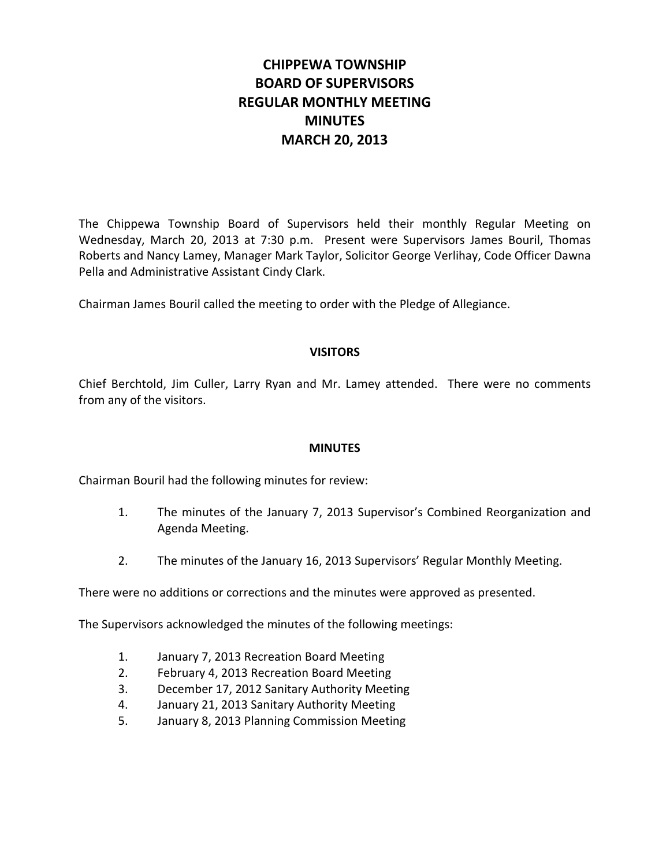# **CHIPPEWA TOWNSHIP BOARD OF SUPERVISORS REGULAR MONTHLY MEETING MINUTES MARCH 20, 2013**

The Chippewa Township Board of Supervisors held their monthly Regular Meeting on Wednesday, March 20, 2013 at 7:30 p.m. Present were Supervisors James Bouril, Thomas Roberts and Nancy Lamey, Manager Mark Taylor, Solicitor George Verlihay, Code Officer Dawna Pella and Administrative Assistant Cindy Clark.

Chairman James Bouril called the meeting to order with the Pledge of Allegiance.

## **VISITORS**

Chief Berchtold, Jim Culler, Larry Ryan and Mr. Lamey attended. There were no comments from any of the visitors.

#### **MINUTES**

Chairman Bouril had the following minutes for review:

- 1. The minutes of the January 7, 2013 Supervisor's Combined Reorganization and Agenda Meeting.
- 2. The minutes of the January 16, 2013 Supervisors' Regular Monthly Meeting.

There were no additions or corrections and the minutes were approved as presented.

The Supervisors acknowledged the minutes of the following meetings:

- 1. January 7, 2013 Recreation Board Meeting
- 2. February 4, 2013 Recreation Board Meeting
- 3. December 17, 2012 Sanitary Authority Meeting
- 4. January 21, 2013 Sanitary Authority Meeting
- 5. January 8, 2013 Planning Commission Meeting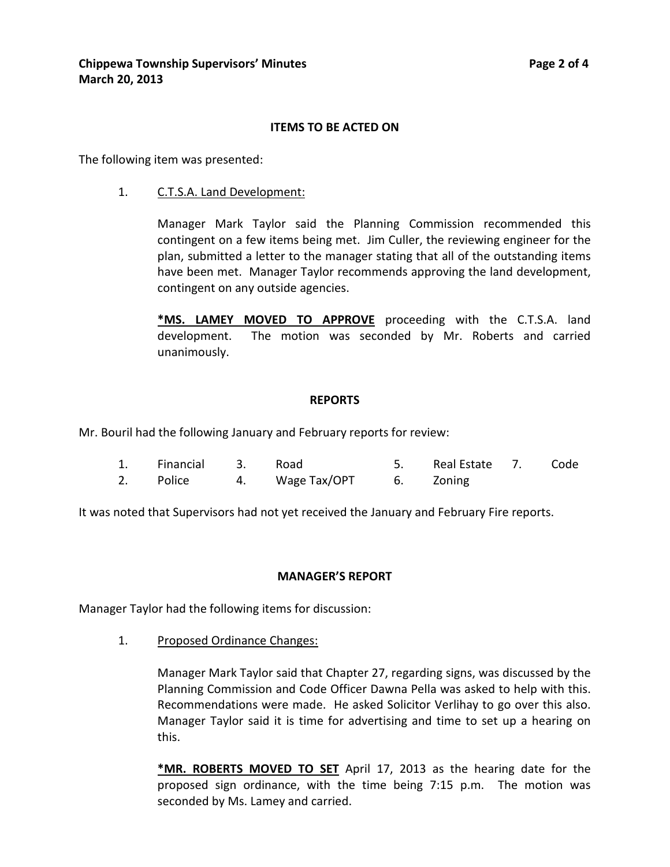#### **ITEMS TO BE ACTED ON**

The following item was presented:

1. C.T.S.A. Land Development:

Manager Mark Taylor said the Planning Commission recommended this contingent on a few items being met. Jim Culler, the reviewing engineer for the plan, submitted a letter to the manager stating that all of the outstanding items have been met. Manager Taylor recommends approving the land development, contingent on any outside agencies.

**\*MS. LAMEY MOVED TO APPROVE** proceeding with the C.T.S.A. land development. The motion was seconded by Mr. Roberts and carried unanimously.

#### **REPORTS**

Mr. Bouril had the following January and February reports for review:

1. Financial 3. Road 5. Real Estate 7. Code 2. Police 4. Wage Tax/OPT 6. Zoning

It was noted that Supervisors had not yet received the January and February Fire reports.

#### **MANAGER'S REPORT**

Manager Taylor had the following items for discussion:

1. Proposed Ordinance Changes:

Manager Mark Taylor said that Chapter 27, regarding signs, was discussed by the Planning Commission and Code Officer Dawna Pella was asked to help with this. Recommendations were made. He asked Solicitor Verlihay to go over this also. Manager Taylor said it is time for advertising and time to set up a hearing on this.

**\*MR. ROBERTS MOVED TO SET** April 17, 2013 as the hearing date for the proposed sign ordinance, with the time being 7:15 p.m. The motion was seconded by Ms. Lamey and carried.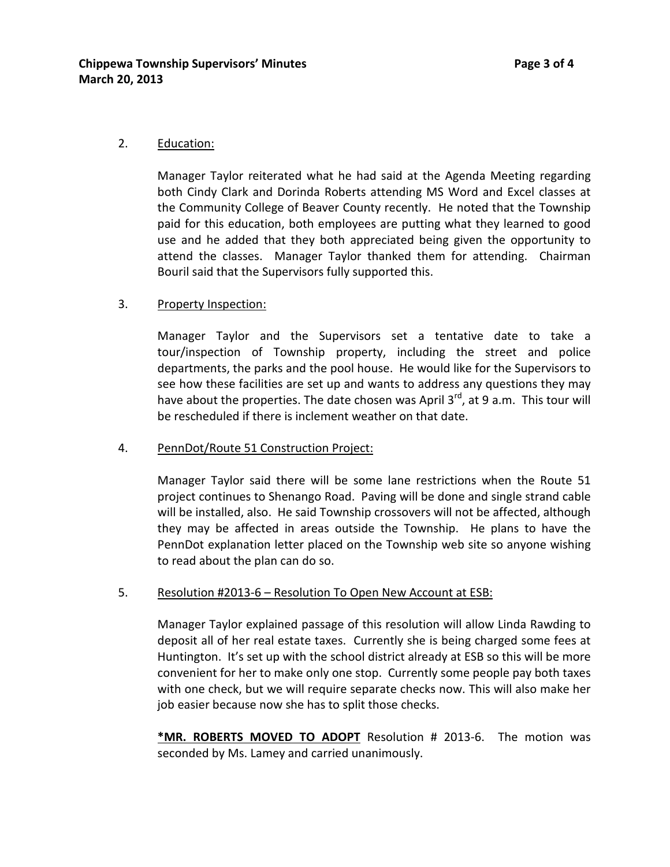## 2. Education:

Manager Taylor reiterated what he had said at the Agenda Meeting regarding both Cindy Clark and Dorinda Roberts attending MS Word and Excel classes at the Community College of Beaver County recently. He noted that the Township paid for this education, both employees are putting what they learned to good use and he added that they both appreciated being given the opportunity to attend the classes. Manager Taylor thanked them for attending. Chairman Bouril said that the Supervisors fully supported this.

## 3. Property Inspection:

Manager Taylor and the Supervisors set a tentative date to take a tour/inspection of Township property, including the street and police departments, the parks and the pool house. He would like for the Supervisors to see how these facilities are set up and wants to address any questions they may have about the properties. The date chosen was April  $3^{rd}$ , at 9 a.m. This tour will be rescheduled if there is inclement weather on that date.

## 4. PennDot/Route 51 Construction Project:

Manager Taylor said there will be some lane restrictions when the Route 51 project continues to Shenango Road. Paving will be done and single strand cable will be installed, also. He said Township crossovers will not be affected, although they may be affected in areas outside the Township. He plans to have the PennDot explanation letter placed on the Township web site so anyone wishing to read about the plan can do so.

## 5. Resolution #2013-6 – Resolution To Open New Account at ESB:

Manager Taylor explained passage of this resolution will allow Linda Rawding to deposit all of her real estate taxes. Currently she is being charged some fees at Huntington. It's set up with the school district already at ESB so this will be more convenient for her to make only one stop. Currently some people pay both taxes with one check, but we will require separate checks now. This will also make her job easier because now she has to split those checks.

**\*MR. ROBERTS MOVED TO ADOPT** Resolution # 2013-6. The motion was seconded by Ms. Lamey and carried unanimously.